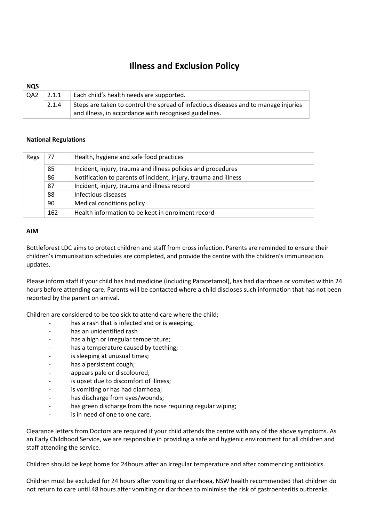# Illness and Exclusion Policy

| <b>NQS</b>      |       |                                                                                                                                               |
|-----------------|-------|-----------------------------------------------------------------------------------------------------------------------------------------------|
| QA <sub>2</sub> | 2.1.1 | Each child's health needs are supported.                                                                                                      |
|                 | 2.1.4 | Steps are taken to control the spread of infectious diseases and to manage injuries<br>and illness, in accordance with recognised guidelines. |

### National Regulations

| Regs | 77  | Health, hygiene and safe food practices                         |
|------|-----|-----------------------------------------------------------------|
|      | 85  | Incident, injury, trauma and illness policies and procedures    |
|      | 86  | Notification to parents of incident, injury, trauma and illness |
|      | 87  | Incident, injury, trauma and illness record                     |
|      | 88  | Infectious diseases                                             |
|      | 90  | Medical conditions policy                                       |
|      | 162 | Health information to be kept in enrolment record               |

#### AIM

Bottleforest LDC aims to protect children and staff from cross infection. Parents are reminded to ensure their children's immunisation schedules are completed, and provide the centre with the children's immunisation updates.

Please inform staff if your child has had medicine (including Paracetamol), has had diarrhoea or vomited within 24 hours before attending care. Parents will be contacted where a child discloses such information that has not been reported by the parent on arrival.

Children are considered to be too sick to attend care where the child;

- has a rash that is infected and or is weeping:
- has an unidentified rash
- has a high or irregular temperature;
- has a temperature caused by teething;
- is sleeping at unusual times;
- has a persistent cough;
- appears pale or discoloured;
- is upset due to discomfort of illness;
- is vomiting or has had diarrhoea;
- has discharge from eyes/wounds;
- has green discharge from the nose requiring regular wiping;
- is in need of one to one care.

Clearance letters from Doctors are required if your child attends the centre with any of the above symptoms. As an Early Childhood Service, we are responsible in providing a safe and hygienic environment for all children and staff attending the service.

Children should be kept home for 24hours after an irregular temperature and after commencing antibiotics.

Children must be excluded for 24 hours after vomiting or diarrhoea, NSW health recommended that children do not return to care until 48 hours after vomiting or diarrhoea to minimise the risk of gastroenteritis outbreaks.